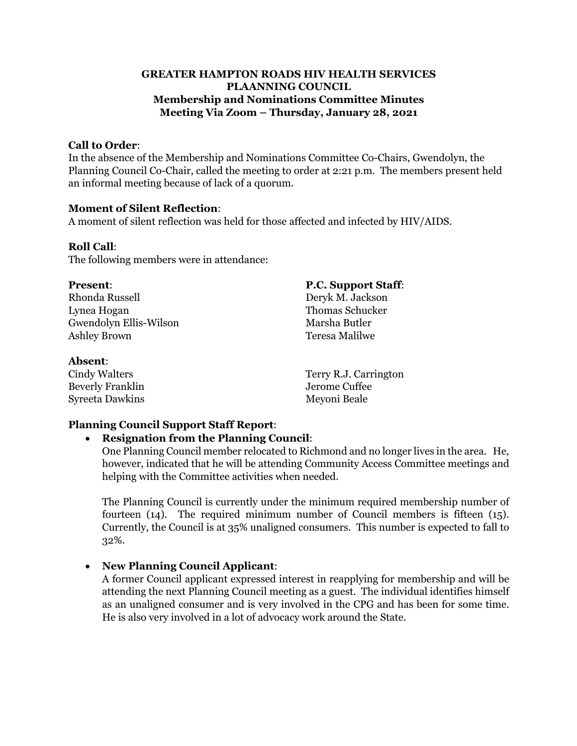## **GREATER HAMPTON ROADS HIV HEALTH SERVICES PLAANNING COUNCIL Membership and Nominations Committee Minutes Meeting Via Zoom – Thursday, January 28, 2021**

### **Call to Order**:

In the absence of the Membership and Nominations Committee Co-Chairs, Gwendolyn, the Planning Council Co-Chair, called the meeting to order at 2:21 p.m. The members present held an informal meeting because of lack of a quorum.

#### **Moment of Silent Reflection**:

A moment of silent reflection was held for those affected and infected by HIV/AIDS.

#### **Roll Call**:

The following members were in attendance:

Rhonda Russell Deryk M. Jackson Lynea Hogan Thomas Schucker Gwendolyn Ellis-Wilson Marsha Butler Ashley Brown Teresa Malilwe

#### **Absent**:

Cindy Walters Terry R.J. Carrington Beverly Franklin Jerome Cuffee Syreeta Dawkins Meyoni Beale

### **Planning Council Support Staff Report**:

### • **Resignation from the Planning Council**:

One Planning Council member relocated to Richmond and no longer lives in the area. He, however, indicated that he will be attending Community Access Committee meetings and helping with the Committee activities when needed.

The Planning Council is currently under the minimum required membership number of fourteen (14). The required minimum number of Council members is fifteen (15). Currently, the Council is at 35% unaligned consumers. This number is expected to fall to 32%.

### • **New Planning Council Applicant**:

A former Council applicant expressed interest in reapplying for membership and will be attending the next Planning Council meeting as a guest. The individual identifies himself as an unaligned consumer and is very involved in the CPG and has been for some time. He is also very involved in a lot of advocacy work around the State.

# **Present**: **P.C. Support Staff**: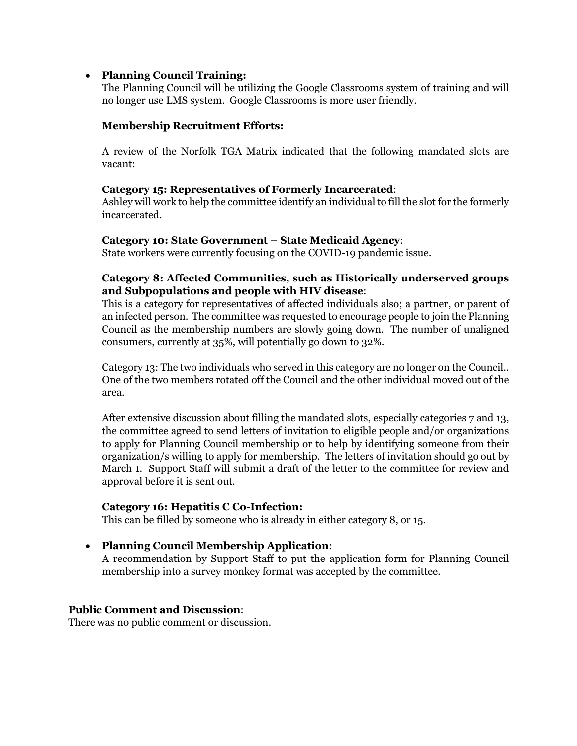## • **Planning Council Training:**

The Planning Council will be utilizing the Google Classrooms system of training and will no longer use LMS system. Google Classrooms is more user friendly.

## **Membership Recruitment Efforts:**

A review of the Norfolk TGA Matrix indicated that the following mandated slots are vacant:

## **Category 15: Representatives of Formerly Incarcerated**:

Ashley will work to help the committee identify an individual to fill the slot for the formerly incarcerated.

### **Category 10: State Government – State Medicaid Agency**:

State workers were currently focusing on the COVID-19 pandemic issue.

# **Category 8: Affected Communities, such as Historically underserved groups and Subpopulations and people with HIV disease**:

This is a category for representatives of affected individuals also; a partner, or parent of an infected person. The committee was requested to encourage people to join the Planning Council as the membership numbers are slowly going down. The number of unaligned consumers, currently at 35%, will potentially go down to 32%.

Category 13: The two individuals who served in this category are no longer on the Council.. One of the two members rotated off the Council and the other individual moved out of the area.

After extensive discussion about filling the mandated slots, especially categories 7 and 13, the committee agreed to send letters of invitation to eligible people and/or organizations to apply for Planning Council membership or to help by identifying someone from their organization/s willing to apply for membership. The letters of invitation should go out by March 1. Support Staff will submit a draft of the letter to the committee for review and approval before it is sent out.

### **Category 16: Hepatitis C Co-Infection:**

This can be filled by someone who is already in either category 8, or 15.

# • **Planning Council Membership Application**:

A recommendation by Support Staff to put the application form for Planning Council membership into a survey monkey format was accepted by the committee.

### **Public Comment and Discussion**:

There was no public comment or discussion.